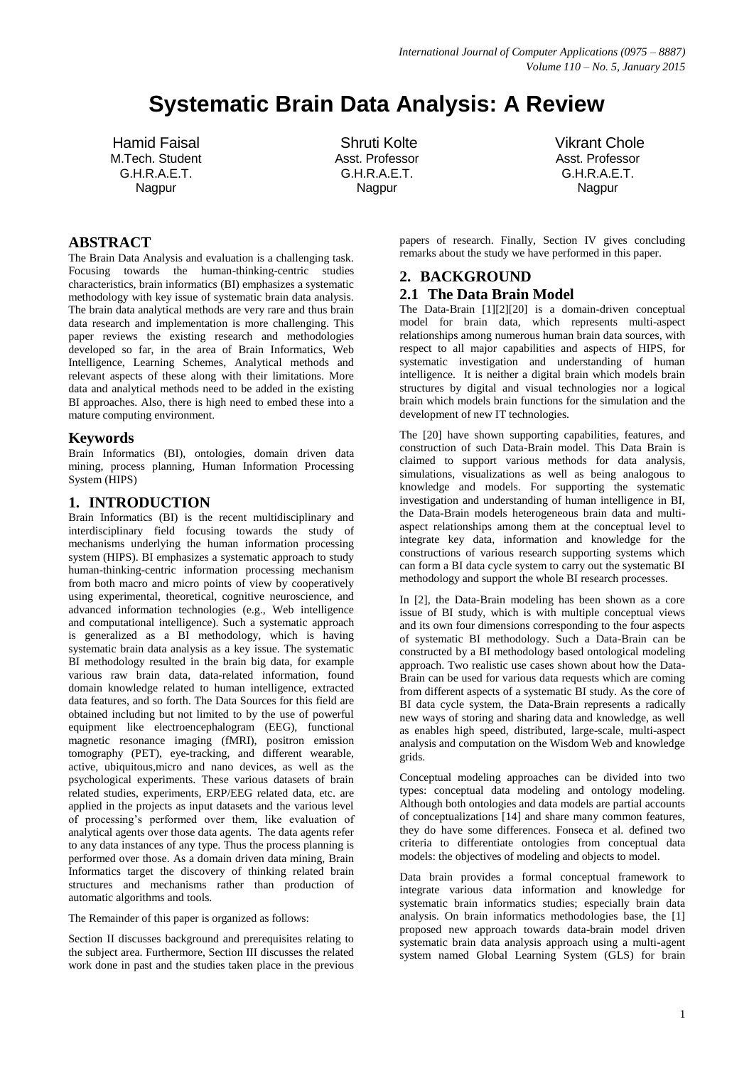# **Systematic Brain Data Analysis: A Review**

Hamid Faisal M.Tech. Student G.H.R.A.E.T. Nagpur

Shruti Kolte Asst. Professor G.H.R.A.E.T. Nagpur

Vikrant Chole Asst. Professor G.H.R.A.E.T. Nagpur

## **ABSTRACT**

The Brain Data Analysis and evaluation is a challenging task. Focusing towards the human-thinking-centric studies characteristics, brain informatics (BI) emphasizes a systematic methodology with key issue of systematic brain data analysis. The brain data analytical methods are very rare and thus brain data research and implementation is more challenging. This paper reviews the existing research and methodologies developed so far, in the area of Brain Informatics, Web Intelligence, Learning Schemes, Analytical methods and relevant aspects of these along with their limitations. More data and analytical methods need to be added in the existing BI approaches. Also, there is high need to embed these into a mature computing environment.

#### **Keywords**

Brain Informatics (BI), ontologies, domain driven data mining, process planning, Human Information Processing System (HIPS)

### **1. INTRODUCTION**

Brain Informatics (BI) is the recent multidisciplinary and interdisciplinary field focusing towards the study of mechanisms underlying the human information processing system (HIPS). BI emphasizes a systematic approach to study human-thinking-centric information processing mechanism from both macro and micro points of view by cooperatively using experimental, theoretical, cognitive neuroscience, and advanced information technologies (e.g., Web intelligence and computational intelligence). Such a systematic approach is generalized as a BI methodology, which is having systematic brain data analysis as a key issue. The systematic BI methodology resulted in the brain big data, for example various raw brain data, data-related information, found domain knowledge related to human intelligence, extracted data features, and so forth. The Data Sources for this field are obtained including but not limited to by the use of powerful equipment like electroencephalogram (EEG), functional magnetic resonance imaging (fMRI), positron emission tomography (PET), eye-tracking, and different wearable, active, ubiquitous,micro and nano devices, as well as the psychological experiments. These various datasets of brain related studies, experiments, ERP/EEG related data, etc. are applied in the projects as input datasets and the various level of processing"s performed over them, like evaluation of analytical agents over those data agents. The data agents refer to any data instances of any type. Thus the process planning is performed over those. As a domain driven data mining, Brain Informatics target the discovery of thinking related brain structures and mechanisms rather than production of automatic algorithms and tools.

The Remainder of this paper is organized as follows:

Section II discusses background and prerequisites relating to the subject area. Furthermore, Section III discusses the related work done in past and the studies taken place in the previous papers of research. Finally, Section IV gives concluding remarks about the study we have performed in this paper.

## **2. BACKGROUND 2.1 The Data Brain Model**

The Data-Brain [1][2][20] is a domain-driven conceptual model for brain data, which represents multi-aspect relationships among numerous human brain data sources, with respect to all major capabilities and aspects of HIPS, for systematic investigation and understanding of human intelligence. It is neither a digital brain which models brain structures by digital and visual technologies nor a logical brain which models brain functions for the simulation and the development of new IT technologies.

The [20] have shown supporting capabilities, features, and construction of such Data-Brain model. This Data Brain is claimed to support various methods for data analysis, simulations, visualizations as well as being analogous to knowledge and models. For supporting the systematic investigation and understanding of human intelligence in BI, the Data-Brain models heterogeneous brain data and multiaspect relationships among them at the conceptual level to integrate key data, information and knowledge for the constructions of various research supporting systems which can form a BI data cycle system to carry out the systematic BI methodology and support the whole BI research processes.

In [2], the Data-Brain modeling has been shown as a core issue of BI study, which is with multiple conceptual views and its own four dimensions corresponding to the four aspects of systematic BI methodology. Such a Data-Brain can be constructed by a BI methodology based ontological modeling approach. Two realistic use cases shown about how the Data-Brain can be used for various data requests which are coming from different aspects of a systematic BI study. As the core of BI data cycle system, the Data-Brain represents a radically new ways of storing and sharing data and knowledge, as well as enables high speed, distributed, large-scale, multi-aspect analysis and computation on the Wisdom Web and knowledge grids.

Conceptual modeling approaches can be divided into two types: conceptual data modeling and ontology modeling. Although both ontologies and data models are partial accounts of conceptualizations [14] and share many common features, they do have some differences. Fonseca et al. defined two criteria to differentiate ontologies from conceptual data models: the objectives of modeling and objects to model.

Data brain provides a formal conceptual framework to integrate various data information and knowledge for systematic brain informatics studies; especially brain data analysis. On brain informatics methodologies base, the [1] proposed new approach towards data-brain model driven systematic brain data analysis approach using a multi-agent system named Global Learning System (GLS) for brain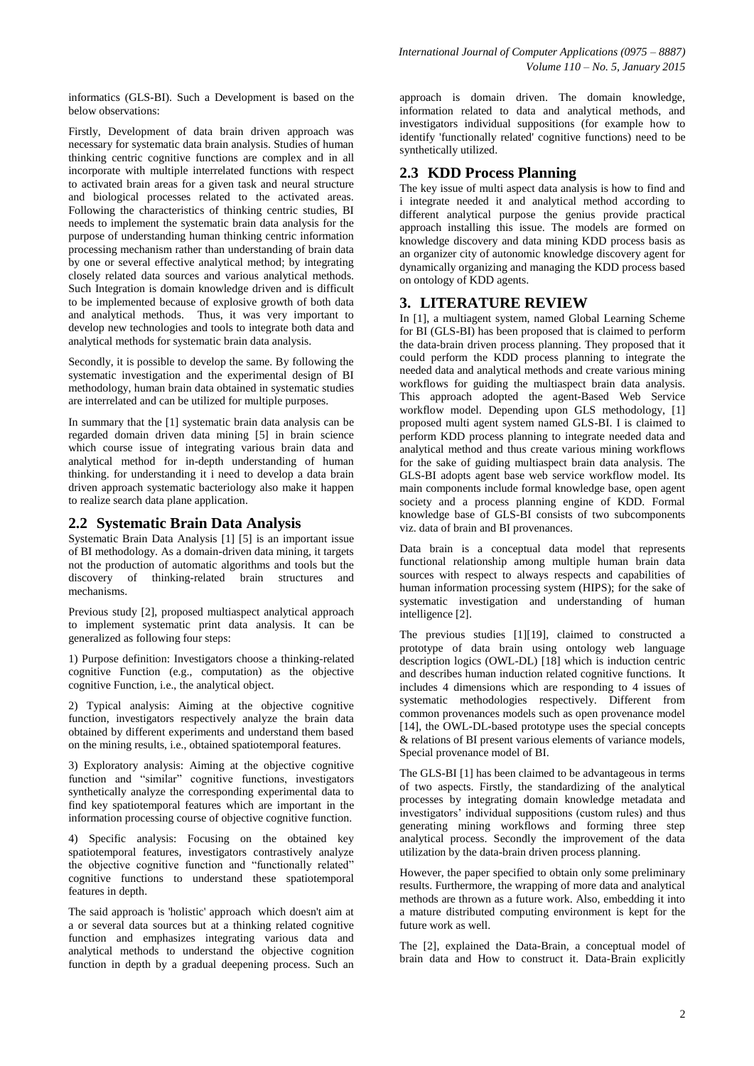informatics (GLS-BI). Such a Development is based on the below observations:

Firstly, Development of data brain driven approach was necessary for systematic data brain analysis. Studies of human thinking centric cognitive functions are complex and in all incorporate with multiple interrelated functions with respect to activated brain areas for a given task and neural structure and biological processes related to the activated areas. Following the characteristics of thinking centric studies, BI needs to implement the systematic brain data analysis for the purpose of understanding human thinking centric information processing mechanism rather than understanding of brain data by one or several effective analytical method; by integrating closely related data sources and various analytical methods. Such Integration is domain knowledge driven and is difficult to be implemented because of explosive growth of both data and analytical methods. Thus, it was very important to develop new technologies and tools to integrate both data and analytical methods for systematic brain data analysis.

Secondly, it is possible to develop the same. By following the systematic investigation and the experimental design of BI methodology, human brain data obtained in systematic studies are interrelated and can be utilized for multiple purposes.

In summary that the [1] systematic brain data analysis can be regarded domain driven data mining [5] in brain science which course issue of integrating various brain data and analytical method for in-depth understanding of human thinking. for understanding it i need to develop a data brain driven approach systematic bacteriology also make it happen to realize search data plane application.

#### **2.2 Systematic Brain Data Analysis**

Systematic Brain Data Analysis [1] [5] is an important issue of BI methodology. As a domain-driven data mining, it targets not the production of automatic algorithms and tools but the discovery of thinking-related brain structures and mechanisms.

Previous study [2], proposed multiaspect analytical approach to implement systematic print data analysis. It can be generalized as following four steps:

1) Purpose definition: Investigators choose a thinking-related cognitive Function (e.g., computation) as the objective cognitive Function, i.e., the analytical object.

2) Typical analysis: Aiming at the objective cognitive function, investigators respectively analyze the brain data obtained by different experiments and understand them based on the mining results, i.e., obtained spatiotemporal features.

3) Exploratory analysis: Aiming at the objective cognitive function and "similar" cognitive functions, investigators synthetically analyze the corresponding experimental data to find key spatiotemporal features which are important in the information processing course of objective cognitive function.

4) Specific analysis: Focusing on the obtained key spatiotemporal features, investigators contrastively analyze the objective cognitive function and "functionally related" cognitive functions to understand these spatiotemporal features in depth.

The said approach is 'holistic' approach which doesn't aim at a or several data sources but at a thinking related cognitive function and emphasizes integrating various data and analytical methods to understand the objective cognition function in depth by a gradual deepening process. Such an approach is domain driven. The domain knowledge, information related to data and analytical methods, and investigators individual suppositions (for example how to identify 'functionally related' cognitive functions) need to be synthetically utilized.

## **2.3 KDD Process Planning**

The key issue of multi aspect data analysis is how to find and i integrate needed it and analytical method according to different analytical purpose the genius provide practical approach installing this issue. The models are formed on knowledge discovery and data mining KDD process basis as an organizer city of autonomic knowledge discovery agent for dynamically organizing and managing the KDD process based on ontology of KDD agents.

#### **3. LITERATURE REVIEW**

In [1], a multiagent system, named Global Learning Scheme for BI (GLS-BI) has been proposed that is claimed to perform the data-brain driven process planning. They proposed that it could perform the KDD process planning to integrate the needed data and analytical methods and create various mining workflows for guiding the multiaspect brain data analysis. This approach adopted the agent-Based Web Service workflow model. Depending upon GLS methodology, [1] proposed multi agent system named GLS-BI. I is claimed to perform KDD process planning to integrate needed data and analytical method and thus create various mining workflows for the sake of guiding multiaspect brain data analysis. The GLS-BI adopts agent base web service workflow model. Its main components include formal knowledge base, open agent society and a process planning engine of KDD. Formal knowledge base of GLS-BI consists of two subcomponents viz. data of brain and BI provenances.

Data brain is a conceptual data model that represents functional relationship among multiple human brain data sources with respect to always respects and capabilities of human information processing system (HIPS); for the sake of systematic investigation and understanding of human intelligence [2].

The previous studies [1][19], claimed to constructed a prototype of data brain using ontology web language description logics (OWL-DL) [18] which is induction centric and describes human induction related cognitive functions. It includes 4 dimensions which are responding to 4 issues of systematic methodologies respectively. Different from common provenances models such as open provenance model [14], the OWL-DL-based prototype uses the special concepts & relations of BI present various elements of variance models, Special provenance model of BI.

The GLS-BI [1] has been claimed to be advantageous in terms of two aspects. Firstly, the standardizing of the analytical processes by integrating domain knowledge metadata and investigators" individual suppositions (custom rules) and thus generating mining workflows and forming three step analytical process. Secondly the improvement of the data utilization by the data-brain driven process planning.

However, the paper specified to obtain only some preliminary results. Furthermore, the wrapping of more data and analytical methods are thrown as a future work. Also, embedding it into a mature distributed computing environment is kept for the future work as well.

The [2], explained the Data-Brain, a conceptual model of brain data and How to construct it. Data-Brain explicitly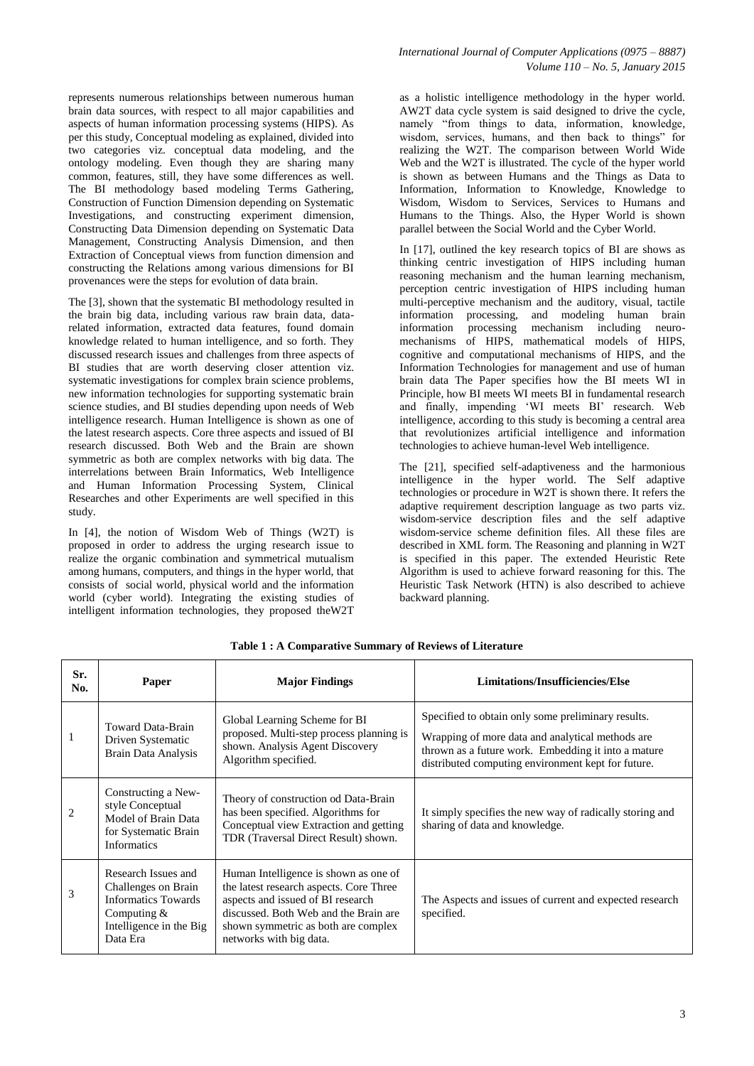represents numerous relationships between numerous human brain data sources, with respect to all major capabilities and aspects of human information processing systems (HIPS). As per this study, Conceptual modeling as explained, divided into two categories viz. conceptual data modeling, and the ontology modeling. Even though they are sharing many common, features, still, they have some differences as well. The BI methodology based modeling Terms Gathering, Construction of Function Dimension depending on Systematic Investigations, and constructing experiment dimension, Constructing Data Dimension depending on Systematic Data Management, Constructing Analysis Dimension, and then Extraction of Conceptual views from function dimension and constructing the Relations among various dimensions for BI provenances were the steps for evolution of data brain.

The [3], shown that the systematic BI methodology resulted in the brain big data, including various raw brain data, datarelated information, extracted data features, found domain knowledge related to human intelligence, and so forth. They discussed research issues and challenges from three aspects of BI studies that are worth deserving closer attention viz. systematic investigations for complex brain science problems, new information technologies for supporting systematic brain science studies, and BI studies depending upon needs of Web intelligence research. Human Intelligence is shown as one of the latest research aspects. Core three aspects and issued of BI research discussed. Both Web and the Brain are shown symmetric as both are complex networks with big data. The interrelations between Brain Informatics, Web Intelligence and Human Information Processing System, Clinical Researches and other Experiments are well specified in this study.

In [4], the notion of Wisdom Web of Things (W2T) is proposed in order to address the urging research issue to realize the organic combination and symmetrical mutualism among humans, computers, and things in the hyper world, that consists of social world, physical world and the information world (cyber world). Integrating the existing studies of intelligent information technologies, they proposed theW2T

as a holistic intelligence methodology in the hyper world. AW2T data cycle system is said designed to drive the cycle, namely "from things to data, information, knowledge, wisdom, services, humans, and then back to things" for realizing the W2T. The comparison between World Wide Web and the W2T is illustrated. The cycle of the hyper world is shown as between Humans and the Things as Data to Information, Information to Knowledge, Knowledge to Wisdom, Wisdom to Services, Services to Humans and Humans to the Things. Also, the Hyper World is shown parallel between the Social World and the Cyber World.

In [17], outlined the key research topics of BI are shows as thinking centric investigation of HIPS including human reasoning mechanism and the human learning mechanism, perception centric investigation of HIPS including human multi-perceptive mechanism and the auditory, visual, tactile information processing, and modeling human brain information processing mechanism including neuromechanisms of HIPS, mathematical models of HIPS, cognitive and computational mechanisms of HIPS, and the Information Technologies for management and use of human brain data The Paper specifies how the BI meets WI in Principle, how BI meets WI meets BI in fundamental research and finally, impending "WI meets BI" research. Web intelligence, according to this study is becoming a central area that revolutionizes artificial intelligence and information technologies to achieve human-level Web intelligence.

The [21], specified self-adaptiveness and the harmonious intelligence in the hyper world. The Self adaptive technologies or procedure in W2T is shown there. It refers the adaptive requirement description language as two parts viz. wisdom-service description files and the self adaptive wisdom-service scheme definition files. All these files are described in XML form. The Reasoning and planning in W2T is specified in this paper. The extended Heuristic Rete Algorithm is used to achieve forward reasoning for this. The Heuristic Task Network (HTN) is also described to achieve backward planning.

| Sr.<br>No.     | Paper                                                                                                                            | <b>Major Findings</b>                                                                                                                                                                                                            | Limitations/Insufficiencies/Else                                                                                                                                                                                     |
|----------------|----------------------------------------------------------------------------------------------------------------------------------|----------------------------------------------------------------------------------------------------------------------------------------------------------------------------------------------------------------------------------|----------------------------------------------------------------------------------------------------------------------------------------------------------------------------------------------------------------------|
| 1              | <b>Toward Data-Brain</b><br>Driven Systematic<br>Brain Data Analysis                                                             | Global Learning Scheme for BI<br>proposed. Multi-step process planning is<br>shown. Analysis Agent Discovery<br>Algorithm specified.                                                                                             | Specified to obtain only some preliminary results.<br>Wrapping of more data and analytical methods are.<br>thrown as a future work. Embedding it into a mature<br>distributed computing environment kept for future. |
| $\overline{2}$ | Constructing a New-<br>style Conceptual<br>Model of Brain Data<br>for Systematic Brain<br><b>Informatics</b>                     | Theory of construction od Data-Brain<br>has been specified. Algorithms for<br>Conceptual view Extraction and getting<br>TDR (Traversal Direct Result) shown.                                                                     | It simply specifies the new way of radically storing and<br>sharing of data and knowledge.                                                                                                                           |
| 3              | Research Issues and<br>Challenges on Brain<br><b>Informatics Towards</b><br>Computing $&$<br>Intelligence in the Big<br>Data Era | Human Intelligence is shown as one of<br>the latest research aspects. Core Three<br>aspects and issued of BI research<br>discussed. Both Web and the Brain are<br>shown symmetric as both are complex<br>networks with big data. | The Aspects and issues of current and expected research<br>specified.                                                                                                                                                |

**Table 1 : A Comparative Summary of Reviews of Literature**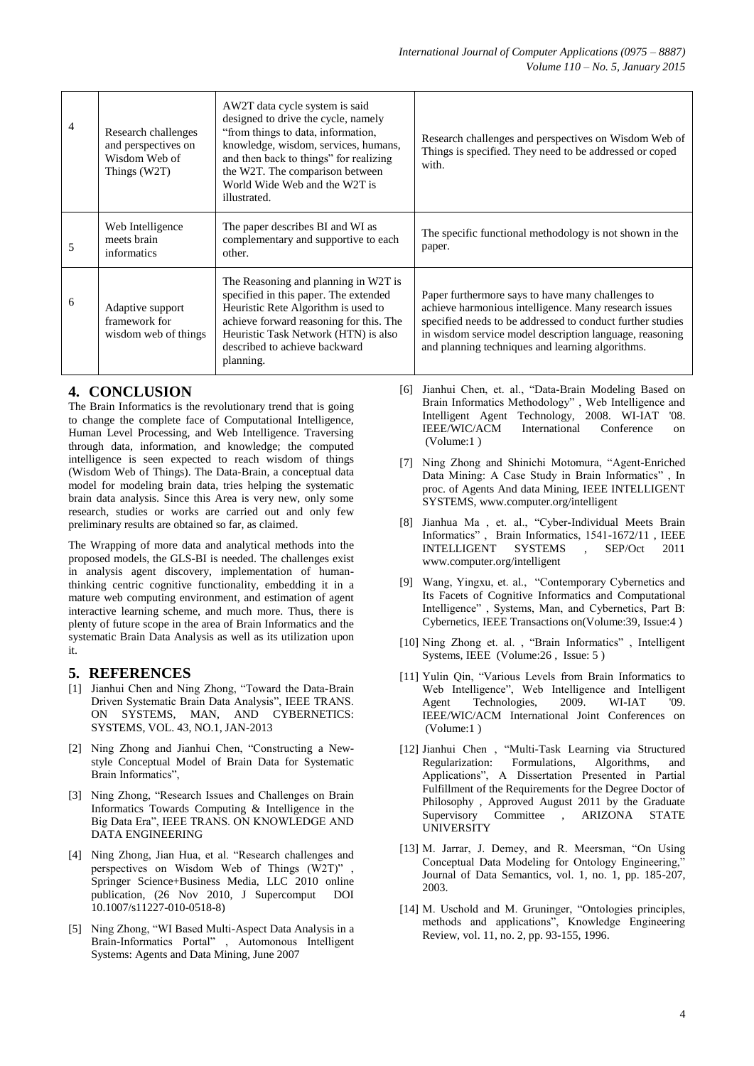| 4 | Research challenges<br>and perspectives on<br>Wisdom Web of<br>Things (W2T) | AW2T data cycle system is said<br>designed to drive the cycle, namely<br>"from things to data, information,<br>knowledge, wisdom, services, humans,<br>and then back to things" for realizing<br>the W2T. The comparison between<br>World Wide Web and the W2T is<br>illustrated. | Research challenges and perspectives on Wisdom Web of<br>Things is specified. They need to be addressed or coped<br>with.                                                                                                                                                               |
|---|-----------------------------------------------------------------------------|-----------------------------------------------------------------------------------------------------------------------------------------------------------------------------------------------------------------------------------------------------------------------------------|-----------------------------------------------------------------------------------------------------------------------------------------------------------------------------------------------------------------------------------------------------------------------------------------|
| 5 | Web Intelligence<br>meets brain<br>informatics                              | The paper describes BI and WI as<br>complementary and supportive to each<br>other.                                                                                                                                                                                                | The specific functional methodology is not shown in the<br>paper.                                                                                                                                                                                                                       |
| 6 | Adaptive support<br>framework for<br>wisdom web of things                   | The Reasoning and planning in W2T is<br>specified in this paper. The extended<br>Heuristic Rete Algorithm is used to<br>achieve forward reasoning for this. The<br>Heuristic Task Network (HTN) is also<br>described to achieve backward<br>planning.                             | Paper furthermore says to have many challenges to<br>achieve harmonious intelligence. Many research issues<br>specified needs to be addressed to conduct further studies<br>in wisdom service model description language, reasoning<br>and planning techniques and learning algorithms. |

## **4. CONCLUSION**

The Brain Informatics is the revolutionary trend that is going to change the complete face of Computational Intelligence, Human Level Processing, and Web Intelligence. Traversing through data, information, and knowledge; the computed intelligence is seen expected to reach wisdom of things (Wisdom Web of Things). The Data-Brain, a conceptual data model for modeling brain data, tries helping the systematic brain data analysis. Since this Area is very new, only some research, studies or works are carried out and only few preliminary results are obtained so far, as claimed.

The Wrapping of more data and analytical methods into the proposed models, the GLS-BI is needed. The challenges exist in analysis agent discovery, implementation of humanthinking centric cognitive functionality, embedding it in a mature web computing environment, and estimation of agent interactive learning scheme, and much more. Thus, there is plenty of future scope in the area of Brain Informatics and the systematic Brain Data Analysis as well as its utilization upon it.

#### **5. REFERENCES**

- [1] Jianhui Chen and Ning Zhong, "Toward the Data-Brain Driven Systematic Brain Data Analysis", IEEE TRANS. ON SYSTEMS, MAN, AND CYBERNETICS: SYSTEMS, VOL. 43, NO.1, JAN-2013
- [2] Ning Zhong and Jianhui Chen, "Constructing a Newstyle Conceptual Model of Brain Data for Systematic Brain Informatics",
- [3] Ning Zhong, "Research Issues and Challenges on Brain Informatics Towards Computing & Intelligence in the Big Data Era", IEEE TRANS. ON KNOWLEDGE AND DATA ENGINEERING
- [4] Ning Zhong, Jian Hua, et al. "Research challenges and perspectives on Wisdom Web of Things (W2T)" , Springer Science+Business Media, LLC 2010 online publication, (26 Nov 2010, J Supercomput DOI 10.1007/s11227-010-0518-8)
- [5] Ning Zhong, "WI Based Multi-Aspect Data Analysis in a Brain-Informatics Portal" , Automonous Intelligent Systems: Agents and Data Mining, June 2007
- [6] Jianhui Chen, et. al., "Data-Brain Modeling Based on Brain Informatics Methodology" , Web Intelligence and Intelligent Agent Technology, 2008. WI-IAT '08. IEEE/WIC/ACM International Conference on (Volume:1 )
- [7] Ning Zhong and Shinichi Motomura, "Agent-Enriched Data Mining: A Case Study in Brain Informatics" , In proc. of Agents And data Mining, IEEE INTELLIGENT SYSTEMS, www.computer.org/intelligent
- [8] Jianhua Ma , et. al., "Cyber-Individual Meets Brain Informatics", Brain Informatics, 1541-1672/11, IEEE<br>INTELLIGENT SYSTEMS , SEP/Oct 2011 , SEP/Oct 2011 www.computer.org/intelligent
- [9] Wang, Yingxu, et. al., "Contemporary Cybernetics and Its Facets of Cognitive Informatics and Computational Intelligence" , Systems, Man, and Cybernetics, Part B: Cybernetics, IEEE Transactions on(Volume:39, Issue:4 )
- [10] Ning Zhong et. al., "Brain Informatics", Intelligent Systems, IEEE (Volume:26 , Issue: 5 )
- [11] Yulin Qin, "Various Levels from Brain Informatics to Web Intelligence", Web Intelligence and Intelligent Agent Technologies, 2009. WI-IAT '09. IEEE/WIC/ACM International Joint Conferences on (Volume:1 )
- [12] Jianhui Chen , "Multi-Task Learning via Structured Regularization: Formulations, Algorithms, and Applications", A Dissertation Presented in Partial Fulfillment of the Requirements for the Degree Doctor of Philosophy , Approved August 2011 by the Graduate Supervisory Committee , ARIZONA STATE UNIVERSITY
- [13] M. Jarrar, J. Demey, and R. Meersman, "On Using Conceptual Data Modeling for Ontology Engineering," Journal of Data Semantics, vol. 1, no. 1, pp. 185-207, 2003.
- [14] M. Uschold and M. Gruninger, "Ontologies principles, methods and applications", Knowledge Engineering Review, vol. 11, no. 2, pp. 93-155, 1996.